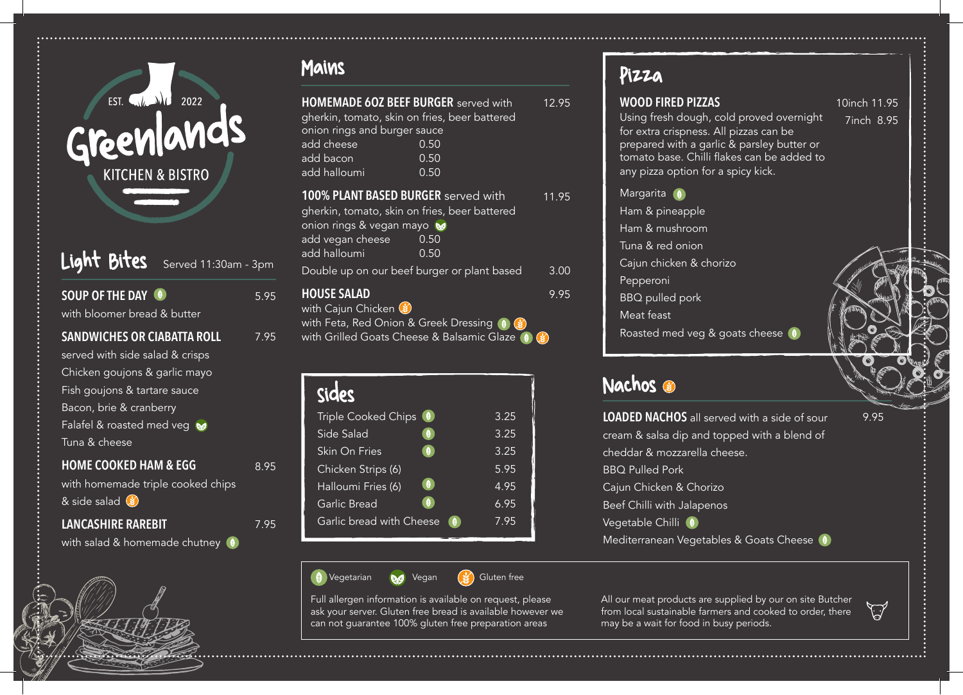

# Light Bites Served 11:30am - 3pm

5.95

7.95

8.95

7.95

| <b>SOUP OF THE DAY (9)</b><br>with bloomer bread & butter |
|-----------------------------------------------------------|
| <b>SANDWICHES OR CIABATTA ROLL</b>                        |
| served with side salad & crisps                           |
| Chicken goujons & garlic mayo                             |
| Fish goujons & tartare sauce                              |
| Bacon, brie & cranberry                                   |
| Falafel & roasted med veg                                 |
| Tuna & cheese                                             |
| <b>HOME COOKED HAM &amp; EGG</b>                          |

with homemade triple cooked chips  $8$  side salad  $$$ 

**LANCASHIRE RAREBIT**

with salad & homemade chutney (9)

| <b>HOMEMADE 60Z BEEF BURGER</b> served with<br>gherkin, tomato, skin on fries, beer battered<br>onion rings and burger sauce                         |                                                                           | 12.95 |
|------------------------------------------------------------------------------------------------------------------------------------------------------|---------------------------------------------------------------------------|-------|
| add cheese                                                                                                                                           | 0.50                                                                      |       |
| add bacon                                                                                                                                            | 0.50                                                                      |       |
| add halloumi                                                                                                                                         | 0.50                                                                      |       |
| 100% PLANT BASED BURGER served with<br>gherkin, tomato, skin on fries, beer battered<br>onion rings & vegan mayo<br>add vegan cheese<br>add halloumi | 0.50<br>0.50                                                              | 11.95 |
| Double up on our beef burger or plant based                                                                                                          |                                                                           | 3.00  |
| <b>HOUSE SALAD</b><br>with Cajun Chicken (*)<br>with Feta, Red Onion & Greek Dressing (9)                                                            | $\left(\frac{1}{2} \right)$<br>with Grilled Goats Cheese & Balsamic Glaze | 9.95  |

| <b>Sides</b>                          |      | Nachos             |
|---------------------------------------|------|--------------------|
| Triple Cooked Chips (9)               | 3.25 | <b>LOADED NA</b>   |
| Side Salad<br>♥.                      | 3.25 | cream & sa         |
| Skin On Fries                         | 3.25 | cheddar &          |
| Chicken Strips (6)                    | 5.95 | <b>BBQ Pullec</b>  |
| $\bullet$<br>Halloumi Fries (6)       | 4.95 | Cajun Chicl        |
| Garlic Bread<br>$\theta$              | 6.95 | <b>Beef Chilli</b> |
| Garlic bread with Cheese<br><b>CO</b> | 7.95 | Vegetable (        |
|                                       |      |                    |



Full allergen information is available on request, please ask your server. Gluten free bread is available however we can not guarantee 100% gluten free preparation areas

#### **WOOD FIRED PIZZAS**  Using fresh dough, cold proved overnight for extra crispness. All pizzas can be prepared with a garlic & parsley butter or tomato base. Chilli flakes can be added to any pizza option for a spicy kick. Margarita (a) Ham & pineapple Ham & mushroom Tuna & red onion Cajun chicken & chorizo Pepperoni BBQ pulled pork Meat feast Roasted med veg & goats cheese 10inch 11.95 7inch 8.95 Mains Pizza

**LOADED NACHOS** all served with a side of sour cream & salsa dip and topped with a blend of cheddar & mozzarella cheese. BBQ Pulled Pork Cajun Chicken & Chorizo Beef Chilli with Jalapenos Vegetable Chilli (9) Mediterranean Vegetables & Goats Cheese 9.95

All our meat products are supplied by our on site Butcher from local sustainable farmers and cooked to order, there may be a wait for food in busy periods.

 $\bigtriangledown$